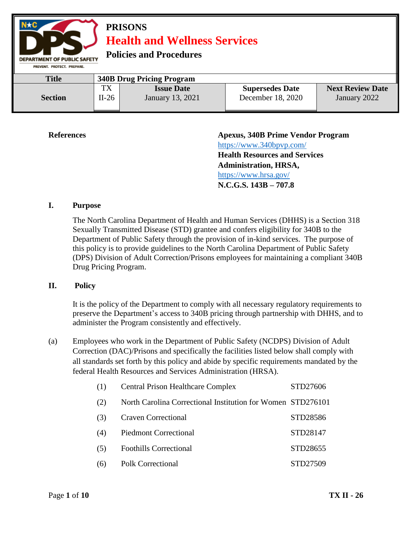

**References Apexus, 340B Prime Vendor Program**  <https://www.340bpvp.com/> **Health Resources and Services Administration, HRSA,**  <https://www.hrsa.gov/> **N.C.G.S. 143B – 707.8**

#### **I. Purpose**

The North Carolina Department of Health and Human Services (DHHS) is a Section 318 Sexually Transmitted Disease (STD) grantee and confers eligibility for 340B to the Department of Public Safety through the provision of in-kind services. The purpose of this policy is to provide guidelines to the North Carolina Department of Public Safety (DPS) Division of Adult Correction/Prisons employees for maintaining a compliant 340B Drug Pricing Program.

#### **II. Policy**

It is the policy of the Department to comply with all necessary regulatory requirements to preserve the Department's access to 340B pricing through partnership with DHHS, and to administer the Program consistently and effectively.

(a) Employees who work in the Department of Public Safety (NCDPS) Division of Adult Correction (DAC)/Prisons and specifically the facilities listed below shall comply with all standards set forth by this policy and abide by specific requirements mandated by the federal Health Resources and Services Administration (HRSA).

| (1) | <b>Central Prison Healthcare Complex</b>                    | STD27606 |
|-----|-------------------------------------------------------------|----------|
| (2) | North Carolina Correctional Institution for Women STD276101 |          |
| (3) | <b>Craven Correctional</b>                                  | STD28586 |
| (4) | <b>Piedmont Correctional</b>                                | STD28147 |
| (5) | <b>Foothills Correctional</b>                               | STD28655 |
| (6) | <b>Polk Correctional</b>                                    | STD27509 |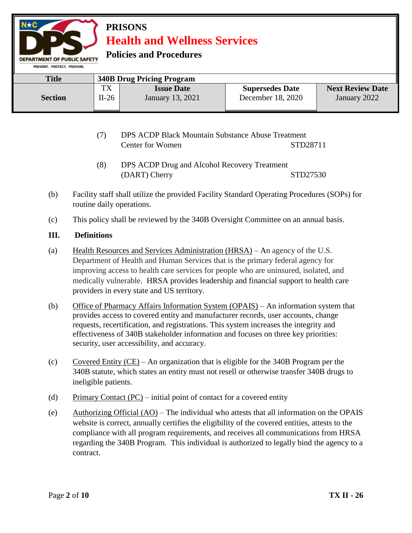**Policies and Procedures** 

| PREVENT, PROTECT, PREPARE, |                                  |                                       |                                             |                                         |  |
|----------------------------|----------------------------------|---------------------------------------|---------------------------------------------|-----------------------------------------|--|
| <b>Title</b>               | <b>340B Drug Pricing Program</b> |                                       |                                             |                                         |  |
| <b>Section</b>             | TX<br>$II-26$                    | <b>Issue Date</b><br>January 13, 2021 | <b>Supersedes Date</b><br>December 18, 2020 | <b>Next Review Date</b><br>January 2022 |  |

- (7) DPS ACDP Black Mountain Substance Abuse Treatment Center for Women STD28711
- (8) DPS ACDP Drug and Alcohol Recovery Treatment (DART) Cherry STD27530
- (b) Facility staff shall utilize the provided Facility Standard Operating Procedures (SOPs) for routine daily operations.
- (c) This policy shall be reviewed by the 340B Oversight Committee on an annual basis.

### **III. Definitions**

- (a) Health Resources and Services Administration (HRSA) An agency of the U.S. Department of Health and Human Services that is the primary federal agency for improving access to health care services for people who are uninsured, isolated, and medically vulnerable. HRSA provides leadership and financial support to health care providers in every state and US territory.
- (b) Office of Pharmacy Affairs Information System (OPAIS) An information system that provides access to covered entity and manufacturer records, user accounts, change requests, recertification, and registrations. This system increases the integrity and effectiveness of 340B stakeholder information and focuses on three key priorities: security, user accessibility, and accuracy.
- (c) Covered Entity (CE) An organization that is eligible for the 340B Program per the 340B statute, which states an entity must not resell or otherwise transfer 340B drugs to ineligible patients.
- (d) Primary Contact (PC) initial point of contact for a covered entity
- (e) Authorizing Official  $(AO)$  The individual who attests that all information on the OPAIS website is correct, annually certifies the eligibility of the covered entities, attests to the compliance with all program requirements, and receives all communications from HRSA regarding the 340B Program. This individual is authorized to legally bind the agency to a contract.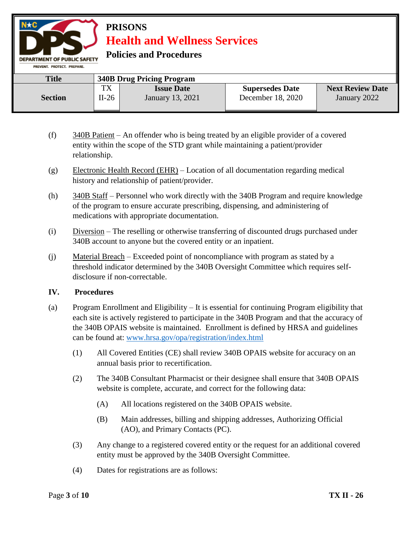**Policies and Procedures** 

| PREVENT, PROTECT, PREPARE, |               |                                       |                                             |                                         |
|----------------------------|---------------|---------------------------------------|---------------------------------------------|-----------------------------------------|
| <b>Title</b>               |               | <b>340B Drug Pricing Program</b>      |                                             |                                         |
| <b>Section</b>             | TX<br>$II-26$ | <b>Issue Date</b><br>January 13, 2021 | <b>Supersedes Date</b><br>December 18, 2020 | <b>Next Review Date</b><br>January 2022 |

- (f) 340B Patient An offender who is being treated by an eligible provider of a covered entity within the scope of the STD grant while maintaining a patient/provider relationship.
- (g) Electronic Health Record (EHR) Location of all documentation regarding medical history and relationship of patient/provider.
- (h) 340B Staff Personnel who work directly with the 340B Program and require knowledge of the program to ensure accurate prescribing, dispensing, and administering of medications with appropriate documentation.
- (i) Diversion The reselling or otherwise transferring of discounted drugs purchased under 340B account to anyone but the covered entity or an inpatient.
- (j) Material Breach Exceeded point of noncompliance with program as stated by a threshold indicator determined by the 340B Oversight Committee which requires selfdisclosure if non-correctable.

#### **IV. Procedures**

- (a) Program Enrollment and Eligibility It is essential for continuing Program eligibility that each site is actively registered to participate in the 340B Program and that the accuracy of the 340B OPAIS website is maintained. Enrollment is defined by HRSA and guidelines can be found at: [www.hrsa.gov/opa/registration/index.html](http://www.hrsa.gov/opa/registration/index.html) 
	- (1) All Covered Entities (CE) shall review 340B OPAIS website for accuracy on an annual basis prior to recertification.
	- (2) The 340B Consultant Pharmacist or their designee shall ensure that 340B OPAIS website is complete, accurate, and correct for the following data:
		- (A) All locations registered on the 340B OPAIS website.
		- (B) Main addresses, billing and shipping addresses, Authorizing Official (AO), and Primary Contacts (PC).
	- (3) Any change to a registered covered entity or the request for an additional covered entity must be approved by the 340B Oversight Committee.
	- (4) Dates for registrations are as follows: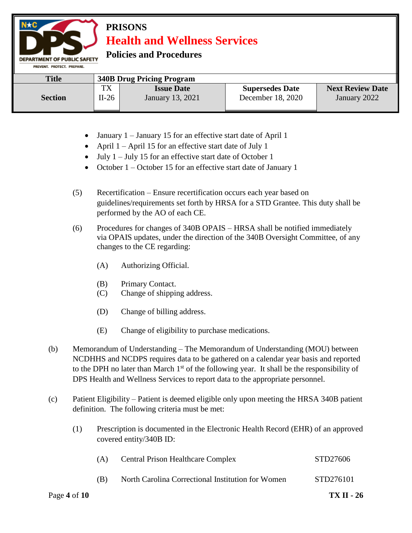**Policies and Procedures** 

| PREVENT, PROTECT, PREPARE, |         |                                  |                        |                         |  |  |
|----------------------------|---------|----------------------------------|------------------------|-------------------------|--|--|
| <b>Title</b>               |         | <b>340B Drug Pricing Program</b> |                        |                         |  |  |
|                            | TX      | <b>Issue Date</b>                | <b>Supersedes Date</b> | <b>Next Review Date</b> |  |  |
| <b>Section</b>             | $II-26$ | <b>January</b> 13, 2021          | December 18, 2020      | January 2022            |  |  |

- January 1 January 15 for an effective start date of April 1
- April  $1 -$ April 15 for an effective start date of July 1
- $\bullet$  July 1 July 15 for an effective start date of October 1
- October 1 October 15 for an effective start date of January 1
- (5) Recertification Ensure recertification occurs each year based on guidelines/requirements set forth by HRSA for a STD Grantee. This duty shall be performed by the AO of each CE.
- (6) Procedures for changes of 340B OPAIS HRSA shall be notified immediately via OPAIS updates, under the direction of the 340B Oversight Committee, of any changes to the CE regarding:
	- (A) Authorizing Official.
	- (B) Primary Contact.
	- (C) Change of shipping address.
	- (D) Change of billing address.
	- (E) Change of eligibility to purchase medications.
- (b) Memorandum of Understanding The Memorandum of Understanding (MOU) between NCDHHS and NCDPS requires data to be gathered on a calendar year basis and reported to the DPH no later than March  $1<sup>st</sup>$  of the following year. It shall be the responsibility of DPS Health and Wellness Services to report data to the appropriate personnel.
- (c) Patient Eligibility Patient is deemed eligible only upon meeting the HRSA 340B patient definition. The following criteria must be met:
	- (1) Prescription is documented in the Electronic Health Record (EHR) of an approved covered entity/340B ID:

| Page 4 of $10$ |     |                                                   | <b>TX II - 26</b> |
|----------------|-----|---------------------------------------------------|-------------------|
|                | (B) | North Carolina Correctional Institution for Women | STD276101         |
|                | (A) | <b>Central Prison Healthcare Complex</b>          | STD27606          |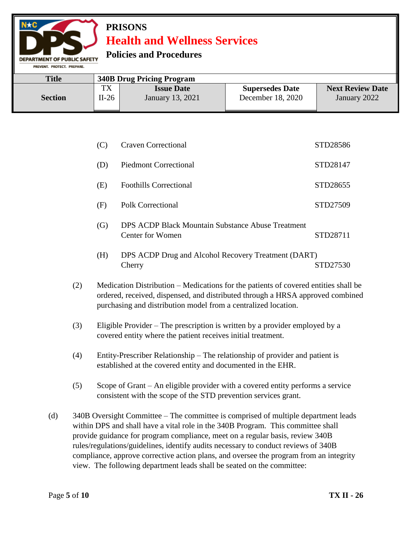### **Policies and Procedures**

**MENT OF PUBLIC SAFETY** PREVENT. PROTECT. PREPARE

| <b>Title</b><br><b>340B Drug Pricing Program</b> |         |                   |                        |                         |
|--------------------------------------------------|---------|-------------------|------------------------|-------------------------|
| <b>Section</b>                                   | TX      | <b>Issue Date</b> | <b>Supersedes Date</b> | <b>Next Review Date</b> |
|                                                  | $II-26$ | January 13, 2021  | December 18, 2020      | January 2022            |

| (C) | <b>Craven Correctional</b>    | STD28586 |
|-----|-------------------------------|----------|
| (D) | <b>Piedmont Correctional</b>  | STD28147 |
| (E) | <b>Foothills Correctional</b> | STD28655 |
| (F) | Polk Correctional             | STD27509 |

- (G) DPS ACDP Black Mountain Substance Abuse Treatment Center for Women STD28711
- (H) DPS ACDP Drug and Alcohol Recovery Treatment (DART) Cherry STD27530
- (2) Medication Distribution Medications for the patients of covered entities shall be ordered, received, dispensed, and distributed through a HRSA approved combined purchasing and distribution model from a centralized location.
- (3) Eligible Provider The prescription is written by a provider employed by a covered entity where the patient receives initial treatment.
- (4) Entity-Prescriber Relationship The relationship of provider and patient is established at the covered entity and documented in the EHR.
- (5) Scope of Grant An eligible provider with a covered entity performs a service consistent with the scope of the STD prevention services grant.
- (d) 340B Oversight Committee The committee is comprised of multiple department leads within DPS and shall have a vital role in the 340B Program. This committee shall provide guidance for program compliance, meet on a regular basis, review 340B rules/regulations/guidelines, identify audits necessary to conduct reviews of 340B compliance, approve corrective action plans, and oversee the program from an integrity view. The following department leads shall be seated on the committee: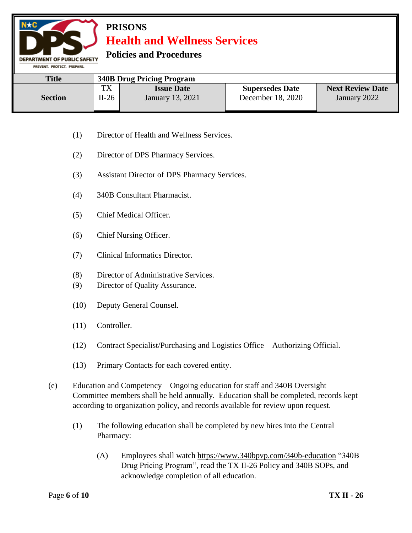**Policies and Procedures** 

**DEPARTMENT OF PUBLIC SAFETY** PREVENT. PROTECT. PREPARE.

| <b>Title</b>   | <b>340B Drug Pricing Program</b> |                   |                        |                         |  |
|----------------|----------------------------------|-------------------|------------------------|-------------------------|--|
| <b>Section</b> | TX                               | <b>Issue Date</b> | <b>Supersedes Date</b> | <b>Next Review Date</b> |  |
|                | $II-26$                          | January 13, 2021  | December 18, 2020      | January 2022            |  |

- (1) Director of Health and Wellness Services.
- (2) Director of DPS Pharmacy Services.
- (3) Assistant Director of DPS Pharmacy Services.
- (4) 340B Consultant Pharmacist.
- (5) Chief Medical Officer.
- (6) Chief Nursing Officer.
- (7) Clinical Informatics Director.
- (8) Director of Administrative Services.
- (9) Director of Quality Assurance.
- (10) Deputy General Counsel.
- (11) Controller.
- (12) Contract Specialist/Purchasing and Logistics Office Authorizing Official.
- (13) Primary Contacts for each covered entity.
- (e) Education and Competency Ongoing education for staff and 340B Oversight Committee members shall be held annually. Education shall be completed, records kept according to organization policy, and records available for review upon request.
	- (1) The following education shall be completed by new hires into the Central Pharmacy:
		- (A) Employees shall watch<https://www.340bpvp.com/340b-education> "340B Drug Pricing Program", read the TX II-26 Policy and 340B SOPs, and acknowledge completion of all education.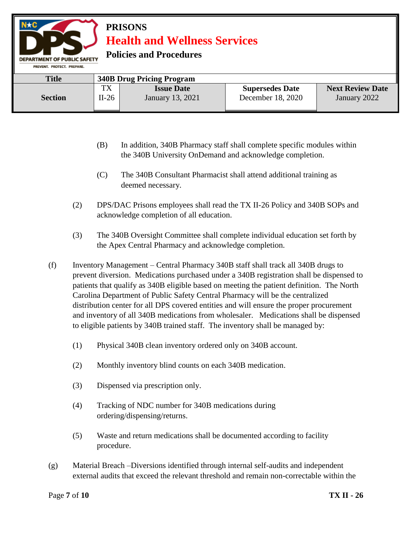**Policies and Procedures** 

| PREVENT, PROTECT, PREPARE,                       |               |                                       |                                             |                                         |  |  |
|--------------------------------------------------|---------------|---------------------------------------|---------------------------------------------|-----------------------------------------|--|--|
| <b>Title</b><br><b>340B Drug Pricing Program</b> |               |                                       |                                             |                                         |  |  |
| <b>Section</b>                                   | TX<br>$II-26$ | <b>Issue Date</b><br>January 13, 2021 | <b>Supersedes Date</b><br>December 18, 2020 | <b>Next Review Date</b><br>January 2022 |  |  |
|                                                  |               |                                       |                                             |                                         |  |  |

- (B) In addition, 340B Pharmacy staff shall complete specific modules within the 340B University OnDemand and acknowledge completion.
- (C) The 340B Consultant Pharmacist shall attend additional training as deemed necessary.
- (2) DPS/DAC Prisons employees shall read the TX II-26 Policy and 340B SOPs and acknowledge completion of all education.
- (3) The 340B Oversight Committee shall complete individual education set forth by the Apex Central Pharmacy and acknowledge completion.
- (f) Inventory Management Central Pharmacy 340B staff shall track all 340B drugs to prevent diversion. Medications purchased under a 340B registration shall be dispensed to patients that qualify as 340B eligible based on meeting the patient definition. The North Carolina Department of Public Safety Central Pharmacy will be the centralized distribution center for all DPS covered entities and will ensure the proper procurement and inventory of all 340B medications from wholesaler. Medications shall be dispensed to eligible patients by 340B trained staff. The inventory shall be managed by:
	- (1) Physical 340B clean inventory ordered only on 340B account.
	- (2) Monthly inventory blind counts on each 340B medication.
	- (3) Dispensed via prescription only.
	- (4) Tracking of NDC number for 340B medications during ordering/dispensing/returns.
	- (5) Waste and return medications shall be documented according to facility procedure.
- (g) Material Breach –Diversions identified through internal self-audits and independent external audits that exceed the relevant threshold and remain non-correctable within the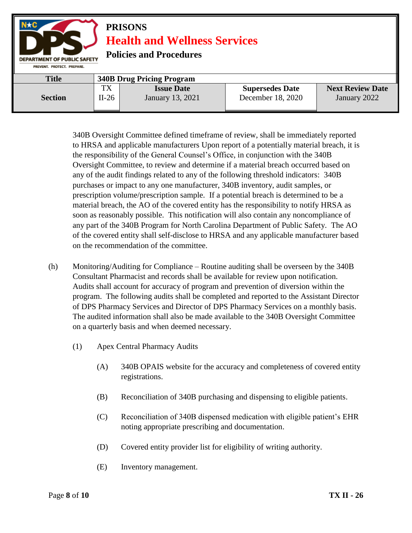

340B Oversight Committee defined timeframe of review, shall be immediately reported to HRSA and applicable manufacturers Upon report of a potentially material breach, it is the responsibility of the General Counsel's Office, in conjunction with the 340B Oversight Committee, to review and determine if a material breach occurred based on any of the audit findings related to any of the following threshold indicators: 340B purchases or impact to any one manufacturer, 340B inventory, audit samples, or prescription volume/prescription sample. If a potential breach is determined to be a material breach, the AO of the covered entity has the responsibility to notify HRSA as soon as reasonably possible. This notification will also contain any noncompliance of any part of the 340B Program for North Carolina Department of Public Safety. The AO of the covered entity shall self-disclose to HRSA and any applicable manufacturer based on the recommendation of the committee.

- (h) Monitoring/Auditing for Compliance Routine auditing shall be overseen by the 340B Consultant Pharmacist and records shall be available for review upon notification. Audits shall account for accuracy of program and prevention of diversion within the program. The following audits shall be completed and reported to the Assistant Director of DPS Pharmacy Services and Director of DPS Pharmacy Services on a monthly basis. The audited information shall also be made available to the 340B Oversight Committee on a quarterly basis and when deemed necessary.
	- (1) Apex Central Pharmacy Audits
		- (A) 340B OPAIS website for the accuracy and completeness of covered entity registrations.
		- (B) Reconciliation of 340B purchasing and dispensing to eligible patients.
		- (C) Reconciliation of 340B dispensed medication with eligible patient's EHR noting appropriate prescribing and documentation.
		- (D) Covered entity provider list for eligibility of writing authority.
		- (E) Inventory management.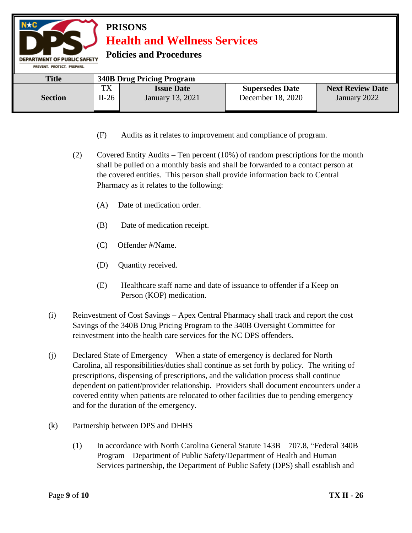| $N \star C$<br>PREVENT, PROTECT, PREPARE, | <b>PRISONS</b><br><b>Health and Wellness Services</b><br><b>Policies and Procedures</b><br><b>DEPARTMENT OF PUBLIC SAFETY</b> |                                       |                                             |                                         |  |  |
|-------------------------------------------|-------------------------------------------------------------------------------------------------------------------------------|---------------------------------------|---------------------------------------------|-----------------------------------------|--|--|
| <b>Title</b>                              |                                                                                                                               | <b>340B Drug Pricing Program</b>      |                                             |                                         |  |  |
| <b>Section</b>                            | <b>TX</b><br>$II-26$                                                                                                          | <b>Issue Date</b><br>January 13, 2021 | <b>Supersedes Date</b><br>December 18, 2020 | <b>Next Review Date</b><br>January 2022 |  |  |

- (F) Audits as it relates to improvement and compliance of program.
- (2) Covered Entity Audits Ten percent (10%) of random prescriptions for the month shall be pulled on a monthly basis and shall be forwarded to a contact person at the covered entities. This person shall provide information back to Central Pharmacy as it relates to the following:
	- (A) Date of medication order.
	- (B) Date of medication receipt.
	- (C) Offender #/Name.
	- (D) Quantity received.
	- (E) Healthcare staff name and date of issuance to offender if a Keep on Person (KOP) medication.
- (i) Reinvestment of Cost Savings Apex Central Pharmacy shall track and report the cost Savings of the 340B Drug Pricing Program to the 340B Oversight Committee for reinvestment into the health care services for the NC DPS offenders.
- (j) Declared State of Emergency When a state of emergency is declared for North Carolina, all responsibilities/duties shall continue as set forth by policy. The writing of prescriptions, dispensing of prescriptions, and the validation process shall continue dependent on patient/provider relationship. Providers shall document encounters under a covered entity when patients are relocated to other facilities due to pending emergency and for the duration of the emergency.
- (k) Partnership between DPS and DHHS
	- (1) In accordance with North Carolina General Statute 143B 707.8, "Federal 340B Program – Department of Public Safety/Department of Health and Human Services partnership, the Department of Public Safety (DPS) shall establish and